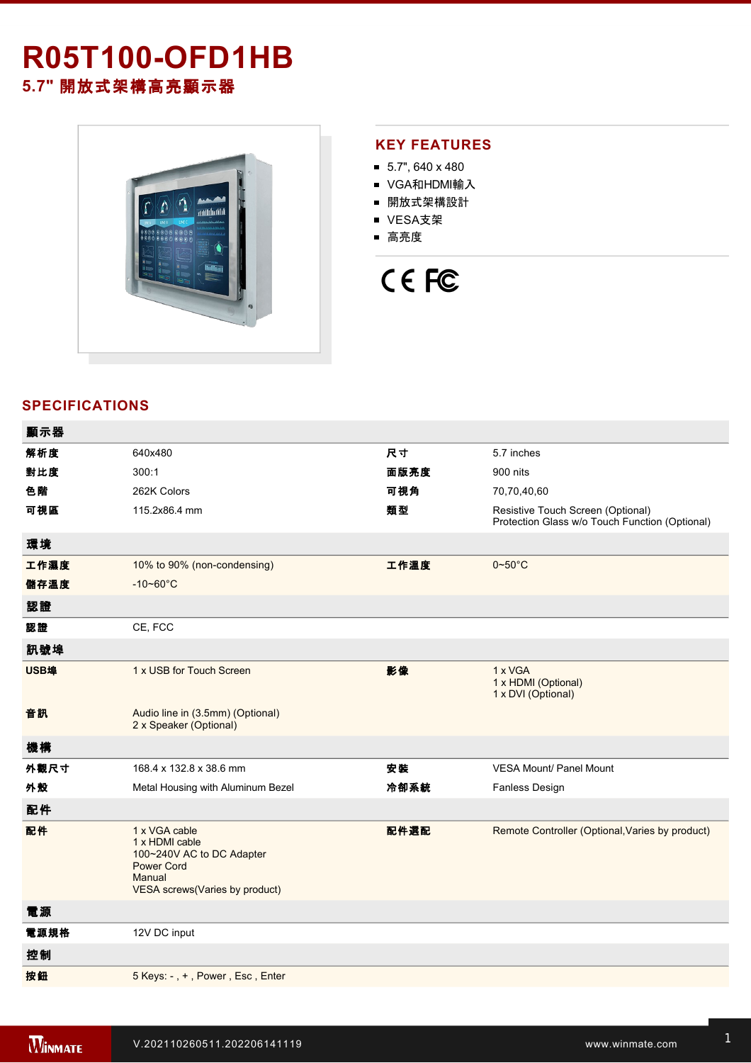# **R05T100-OFD1HB**

**5.7"** 開放式架構高亮顯示器



## **KEY FEATURES**

- $\blacksquare$  5.7", 640 x 480
- VGA和HDMI輸入
- 開放式架構設計
- VESA支架
- 高亮度

# CE FC

# **SPECIFICATIONS**

| 顯示器  |                                                                                                                               |      |                                                                                     |
|------|-------------------------------------------------------------------------------------------------------------------------------|------|-------------------------------------------------------------------------------------|
| 解析度  | 640x480                                                                                                                       | 尺寸   | 5.7 inches                                                                          |
| 對比度  | 300:1                                                                                                                         | 面版亮度 | 900 nits                                                                            |
| 色階   | 262K Colors                                                                                                                   | 可視角  | 70,70,40,60                                                                         |
| 可視區  | 115.2x86.4 mm                                                                                                                 | 類型   | Resistive Touch Screen (Optional)<br>Protection Glass w/o Touch Function (Optional) |
| 環境   |                                                                                                                               |      |                                                                                     |
| 工作濕度 | 10% to 90% (non-condensing)                                                                                                   | 工作溫度 | $0 - 50^{\circ}$ C                                                                  |
| 儲存溫度 | $-10 - 60^{\circ}$ C                                                                                                          |      |                                                                                     |
| 認證   |                                                                                                                               |      |                                                                                     |
| 認證   | CE, FCC                                                                                                                       |      |                                                                                     |
| 訊號埠  |                                                                                                                               |      |                                                                                     |
| USB埠 | 1 x USB for Touch Screen                                                                                                      | 影像   | 1 x VGA<br>1 x HDMI (Optional)<br>1 x DVI (Optional)                                |
| 音訊   | Audio line in (3.5mm) (Optional)<br>2 x Speaker (Optional)                                                                    |      |                                                                                     |
| 機構   |                                                                                                                               |      |                                                                                     |
| 外觀尺寸 | 168.4 x 132.8 x 38.6 mm                                                                                                       | 安裝   | <b>VESA Mount/ Panel Mount</b>                                                      |
| 外殼   | Metal Housing with Aluminum Bezel                                                                                             | 冷卻系統 | Fanless Design                                                                      |
| 配件   |                                                                                                                               |      |                                                                                     |
| 配件   | 1 x VGA cable<br>1 x HDMI cable<br>100~240V AC to DC Adapter<br><b>Power Cord</b><br>Manual<br>VESA screws(Varies by product) | 配件選配 | Remote Controller (Optional, Varies by product)                                     |
| 電源   |                                                                                                                               |      |                                                                                     |
| 電源規格 | 12V DC input                                                                                                                  |      |                                                                                     |
| 控制   |                                                                                                                               |      |                                                                                     |
| 按鈕   | 5 Keys: -, +, Power, Esc, Enter                                                                                               |      |                                                                                     |
|      |                                                                                                                               |      |                                                                                     |

**DIMENSIONS**  UNIT:MM